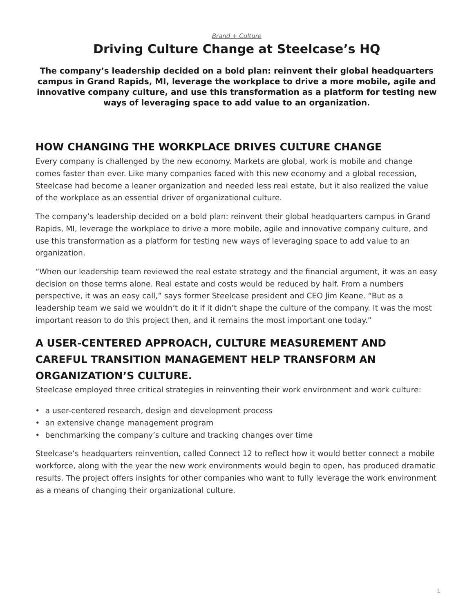#### <span id="page-0-0"></span>*[Brand + Culture](https://www.steelcase.com/research/topics/brand-culture/)* **Driving Culture Change at Steelcase's HQ**

**The company's leadership decided on a bold plan: reinvent their global headquarters campus in Grand Rapids, MI, leverage the workplace to drive a more mobile, agile and innovative company culture, and use this transformation as a platform for testing new ways of leveraging space to add value to an organization.**

## **HOW CHANGING THE WORKPLACE DRIVES CULTURE CHANGE**

Every company is challenged by the new economy. Markets are global, work is mobile and change comes faster than ever. Like many companies faced with this new economy and a global recession, Steelcase had become a leaner organization and needed less real estate, but it also realized the value of the workplace as an essential driver of organizational culture.

The company's leadership decided on a bold plan: reinvent their global headquarters campus in Grand Rapids, MI, leverage the workplace to drive a more mobile, agile and innovative company culture, and use this transformation as a platform for testing new ways of leveraging space to add value to an organization.

"When our leadership team reviewed the real estate strategy and the financial argument, it was an easy decision on those terms alone. Real estate and costs would be reduced by half. From a numbers perspective, it was an easy call," says former Steelcase president and CEO Jim Keane. "But as a leadership team we said we wouldn't do it if it didn't shape the culture of the company. It was the most important reason to do this project then, and it remains the most important one today."

# **A USER-CENTERED APPROACH, CULTURE MEASUREMENT AND CAREFUL TRANSITION MANAGEMENT HELP TRANSFORM AN ORGANIZATION'S CULTURE.**

Steelcase employed three critical strategies in reinventing their work environment and work culture:

- a user-centered research, design and development process
- an extensive change management program
- benchmarking the company's culture and tracking changes over time

Steelcase's headquarters reinvention, called Connect 12 to reflect how it would better connect a mobile workforce, along with the year the new work environments would begin to open, has produced dramatic results. The project offers insights for other companies who want to fully leverage the work environment as a means of changing their organizational culture.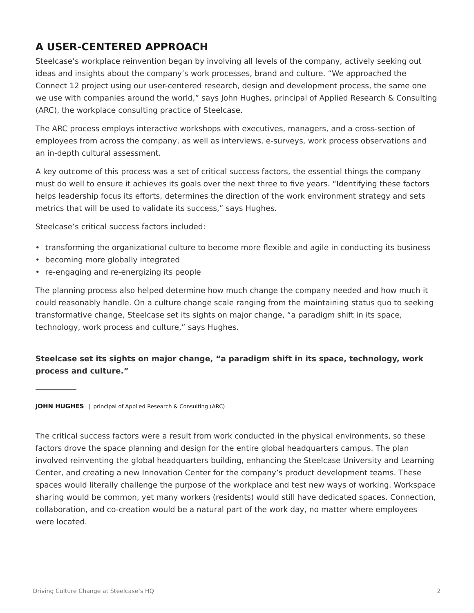## **A USER-CENTERED APPROACH**

Steelcase's workplace reinvention began by involving all levels of the company, actively seeking out ideas and insights about the company's work processes, brand and culture. "We approached the Connect 12 project using our user-centered research, design and development process, the same one we use with companies around the world," says John Hughes, principal of Applied Research & Consulting (ARC), the workplace consulting practice of Steelcase.

The ARC process employs interactive workshops with executives, managers, and a cross-section of employees from across the company, as well as interviews, e-surveys, work process observations and an in-depth cultural assessment.

A key outcome of this process was a set of critical success factors, the essential things the company must do well to ensure it achieves its goals over the next three to five years. "Identifying these factors helps leadership focus its efforts, determines the direction of the work environment strategy and sets metrics that will be used to validate its success," says Hughes.

Steelcase's critical success factors included:

- transforming the organizational culture to become more flexible and agile in conducting its business
- becoming more globally integrated
- re-engaging and re-energizing its people

The planning process also helped determine how much change the company needed and how much it could reasonably handle. On a culture change scale ranging from the maintaining status quo to seeking transformative change, Steelcase set its sights on major change, "a paradigm shift in its space, technology, work process and culture," says Hughes.

#### **Steelcase set its sights on major change, "a paradigm shift in its space, technology, work process and culture."**

**JOHN HUGHES** | principal of Applied Research & Consulting (ARC)

The critical success factors were a result from work conducted in the physical environments, so these factors drove the space planning and design for the entire global headquarters campus. The plan involved reinventing the global headquarters building, enhancing the Steelcase University and Learning Center, and creating a new Innovation Center for the company's product development teams. These spaces would literally challenge the purpose of the workplace and test new ways of working. Workspace sharing would be common, yet many workers (residents) would still have dedicated spaces. Connection, collaboration, and co-creation would be a natural part of the work day, no matter where employees were located.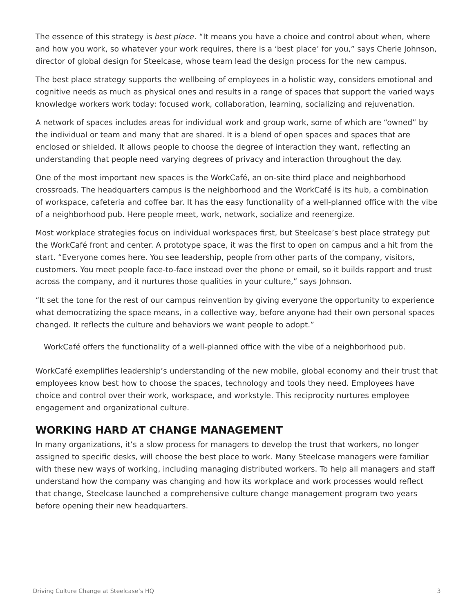The essence of this strategy is *best place*. "It means you have a choice and control about when, where and how you work, so whatever your work requires, there is a 'best place' for you," says Cherie Johnson, director of global design for Steelcase, whose team lead the design process for the new campus.

The best place strategy supports the wellbeing of employees in a holistic way, considers emotional and cognitive needs as much as physical ones and results in a range of spaces that support the varied ways knowledge workers work today: focused work, collaboration, learning, socializing and rejuvenation.

A network of spaces includes areas for individual work and group work, some of which are "owned" by the individual or team and many that are shared. It is a blend of open spaces and spaces that are enclosed or shielded. It allows people to choose the degree of interaction they want, reflecting an understanding that people need varying degrees of privacy and interaction throughout the day.

One of the most important new spaces is the WorkCafé, an on-site third place and neighborhood crossroads. The headquarters campus is the neighborhood and the WorkCafé is its hub, a combination of workspace, cafeteria and coffee bar. It has the easy functionality of a well-planned office with the vibe of a neighborhood pub. Here people meet, work, network, socialize and reenergize.

Most workplace strategies focus on individual workspaces first, but Steelcase's best place strategy put the WorkCafé front and center. A prototype space, it was the first to open on campus and a hit from the start. "Everyone comes here. You see leadership, people from other parts of the company, visitors, customers. You meet people face-to-face instead over the phone or email, so it builds rapport and trust across the company, and it nurtures those qualities in your culture," says Johnson.

"It set the tone for the rest of our campus reinvention by giving everyone the opportunity to experience what democratizing the space means, in a collective way, before anyone had their own personal spaces changed. It reflects the culture and behaviors we want people to adopt."

WorkCafé offers the functionality of a well-planned office with the vibe of a neighborhood pub.

WorkCafé exemplifies leadership's understanding of the new mobile, global economy and their trust that employees know best how to choose the spaces, technology and tools they need. Employees have choice and control over their work, workspace, and workstyle. This reciprocity nurtures employee engagement and organizational culture.

#### **WORKING HARD AT CHANGE MANAGEMENT**

In many organizations, it's a slow process for managers to develop the trust that workers, no longer assigned to specific desks, will choose the best place to work. Many Steelcase managers were familiar with these new ways of working, including managing distributed workers. To help all managers and staff understand how the company was changing and how its workplace and work processes would reflect that change, Steelcase launched a comprehensive culture change management program two years before opening their new headquarters.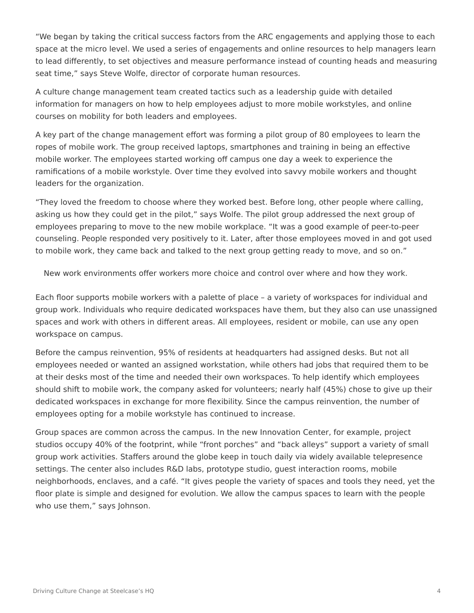"We began by taking the critical success factors from the ARC engagements and applying those to each space at the micro level. We used a series of engagements and online resources to help managers learn to lead differently, to set objectives and measure performance instead of counting heads and measuring seat time," says Steve Wolfe, director of corporate human resources.

A culture change management team created tactics such as a leadership guide with detailed information for managers on how to help employees adjust to more mobile workstyles, and online courses on mobility for both leaders and employees.

A key part of the change management effort was forming a pilot group of 80 employees to learn the ropes of mobile work. The group received laptops, smartphones and training in being an effective mobile worker. The employees started working off campus one day a week to experience the ramifications of a mobile workstyle. Over time they evolved into savvy mobile workers and thought leaders for the organization.

"They loved the freedom to choose where they worked best. Before long, other people where calling, asking us how they could get in the pilot," says Wolfe. The pilot group addressed the next group of employees preparing to move to the new mobile workplace. "It was a good example of peer-to-peer counseling. People responded very positively to it. Later, after those employees moved in and got used to mobile work, they came back and talked to the next group getting ready to move, and so on."

New work environments offer workers more choice and control over where and how they work.

Each floor supports mobile workers with a palette of place – a variety of workspaces for individual and group work. Individuals who require dedicated workspaces have them, but they also can use unassigned spaces and work with others in different areas. All employees, resident or mobile, can use any open workspace on campus.

Before the campus reinvention, 95% of residents at headquarters had assigned desks. But not all employees needed or wanted an assigned workstation, while others had jobs that required them to be at their desks most of the time and needed their own workspaces. To help identify which employees should shift to mobile work, the company asked for volunteers; nearly half (45%) chose to give up their dedicated workspaces in exchange for more flexibility. Since the campus reinvention, the number of employees opting for a mobile workstyle has continued to increase.

Group spaces are common across the campus. In the new Innovation Center, for example, project studios occupy 40% of the footprint, while "front porches" and "back alleys" support a variety of small group work activities. Staffers around the globe keep in touch daily via widely available telepresence settings. The center also includes R&D labs, prototype studio, guest interaction rooms, mobile neighborhoods, enclaves, and a café. "It gives people the variety of spaces and tools they need, yet the floor plate is simple and designed for evolution. We allow the campus spaces to learn with the people who use them," says Johnson.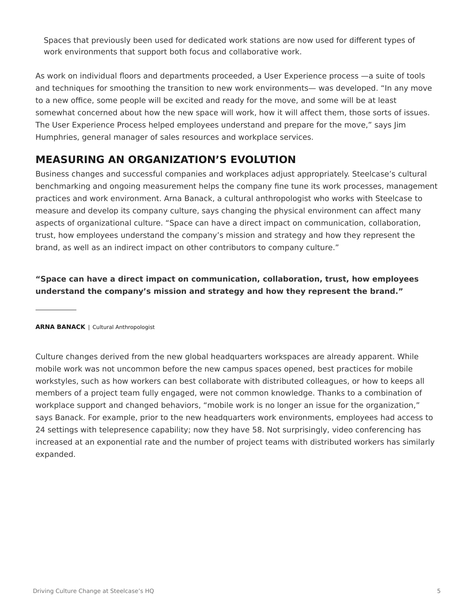Spaces that previously been used for dedicated work stations are now used for different types of work environments that support both focus and collaborative work.

As work on individual floors and departments proceeded, a User Experience process —a suite of tools and techniques for smoothing the transition to new work environments— was developed. "In any move to a new office, some people will be excited and ready for the move, and some will be at least somewhat concerned about how the new space will work, how it will affect them, those sorts of issues. The User Experience Process helped employees understand and prepare for the move," says Jim Humphries, general manager of sales resources and workplace services.

## **MEASURING AN ORGANIZATION'S EVOLUTION**

Business changes and successful companies and workplaces adjust appropriately. Steelcase's cultural benchmarking and ongoing measurement helps the company fine tune its work processes, management practices and work environment. Arna Banack, a cultural anthropologist who works with Steelcase to measure and develop its company culture, says changing the physical environment can affect many aspects of organizational culture. "Space can have a direct impact on communication, collaboration, trust, how employees understand the company's mission and strategy and how they represent the brand, as well as an indirect impact on other contributors to company culture."

**"Space can have a direct impact on communication, collaboration, trust, how employees understand the company's mission and strategy and how they represent the brand."**

**ARNA BANACK** | Cultural Anthropologist

Culture changes derived from the new global headquarters workspaces are already apparent. While mobile work was not uncommon before the new campus spaces opened, best practices for mobile workstyles, such as how workers can best collaborate with distributed colleagues, or how to keeps all members of a project team fully engaged, were not common knowledge. Thanks to a combination of workplace support and changed behaviors, "mobile work is no longer an issue for the organization," says Banack. For example, prior to the new headquarters work environments, employees had access to 24 settings with telepresence capability; now they have 58. Not surprisingly, video conferencing has increased at an exponential rate and the number of project teams with distributed workers has similarly expanded.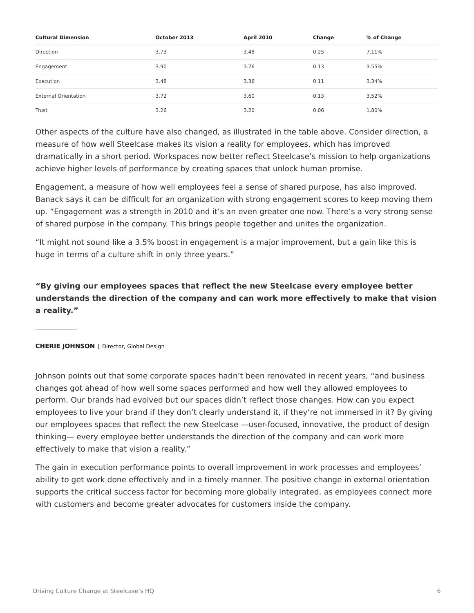| <b>Cultural Dimension</b>   | October 2013 | <b>April 2010</b> | Change | % of Change |
|-----------------------------|--------------|-------------------|--------|-------------|
| Direction                   | 3.73         | 3.48              | 0.25   | 7.11%       |
| Engagement                  | 3.90         | 3.76              | 0.13   | 3.55%       |
| Execution                   | 3.48         | 3.36              | 0.11   | 3.34%       |
| <b>External Orientation</b> | 3.72         | 3.60              | 0.13   | 3.52%       |
| Trust                       | 3.26         | 3.20              | 0.06   | 1.80%       |

Other aspects of the culture have also changed, as illustrated in the table above. Consider direction, a measure of how well Steelcase makes its vision a reality for employees, which has improved dramatically in a short period. Workspaces now better reflect Steelcase's mission to help organizations achieve higher levels of performance by creating spaces that unlock human promise.

Engagement, a measure of how well employees feel a sense of shared purpose, has also improved. Banack says it can be difficult for an organization with strong engagement scores to keep moving them up. "Engagement was a strength in 2010 and it's an even greater one now. There's a very strong sense of shared purpose in the company. This brings people together and unites the organization.

"It might not sound like a 3.5% boost in engagement is a major improvement, but a gain like this is huge in terms of a culture shift in only three years."

**"By giving our employees spaces that reflect the new Steelcase every employee better understands the direction of the company and can work more effectively to make that vision a reality."**

#### **CHERIE JOHNSON** | Director, Global Design

Johnson points out that some corporate spaces hadn't been renovated in recent years, "and business changes got ahead of how well some spaces performed and how well they allowed employees to perform. Our brands had evolved but our spaces didn't reflect those changes. How can you expect employees to live your brand if they don't clearly understand it, if they're not immersed in it? By giving our employees spaces that reflect the new Steelcase —user-focused, innovative, the product of design thinking— every employee better understands the direction of the company and can work more effectively to make that vision a reality."

The gain in execution performance points to overall improvement in work processes and employees' ability to get work done effectively and in a timely manner. The positive change in external orientation supports the critical success factor for becoming more globally integrated, as employees connect more with customers and become greater advocates for customers inside the company.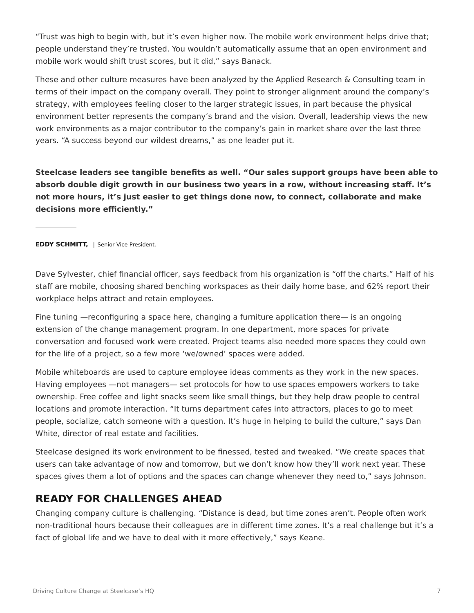"Trust was high to begin with, but it's even higher now. The mobile work environment helps drive that; people understand they're trusted. You wouldn't automatically assume that an open environment and mobile work would shift trust scores, but it did," says Banack.

These and other culture measures have been analyzed by the Applied Research & Consulting team in terms of their impact on the company overall. They point to stronger alignment around the company's strategy, with employees feeling closer to the larger strategic issues, in part because the physical environment better represents the company's brand and the vision. Overall, leadership views the new work environments as a major contributor to the company's gain in market share over the last three years. "A success beyond our wildest dreams," as one leader put it.

**Steelcase leaders see tangible benefits as well. "Our sales support groups have been able to absorb double digit growth in our business two years in a row, without increasing staff. It's not more hours, it's just easier to get things done now, to connect, collaborate and make decisions more efficiently."**

**EDDY SCHMITT, | Senior Vice President.** 

Dave Sylvester, chief financial officer, says feedback from his organization is "off the charts." Half of his staff are mobile, choosing shared benching workspaces as their daily home base, and 62% report their workplace helps attract and retain employees.

Fine tuning —reconfiguring a space here, changing a furniture application there— is an ongoing extension of the change management program. In one department, more spaces for private conversation and focused work were created. Project teams also needed more spaces they could own for the life of a project, so a few more 'we/owned' spaces were added.

Mobile whiteboards are used to capture employee ideas comments as they work in the new spaces. Having employees —not managers— set protocols for how to use spaces empowers workers to take ownership. Free coffee and light snacks seem like small things, but they help draw people to central locations and promote interaction. "It turns department cafes into attractors, places to go to meet people, socialize, catch someone with a question. It's huge in helping to build the culture," says Dan White, director of real estate and facilities.

Steelcase designed its work environment to be finessed, tested and tweaked. "We create spaces that users can take advantage of now and tomorrow, but we don't know how they'll work next year. These spaces gives them a lot of options and the spaces can change whenever they need to," says Johnson.

#### **READY FOR CHALLENGES AHEAD**

Changing company culture is challenging. "Distance is dead, but time zones aren't. People often work non-traditional hours because their colleagues are in different time zones. It's a real challenge but it's a fact of global life and we have to deal with it more effectively," says Keane.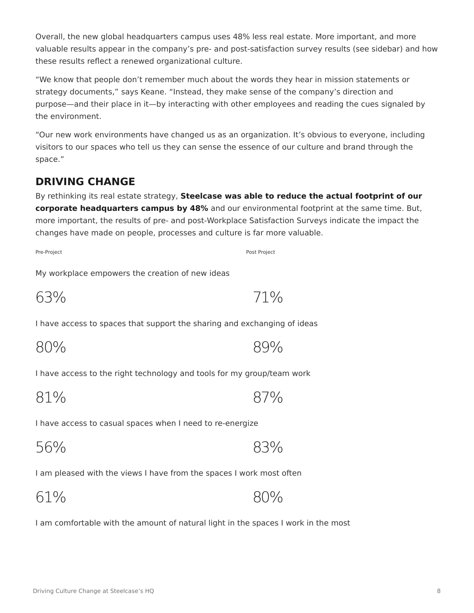Overall, the new global headquarters campus uses 48% less real estate. More important, and more valuable results appear in the company's pre- and post-satisfaction survey results (see sidebar) and how these results reflect a renewed organizational culture.

"We know that people don't remember much about the words they hear in mission statements or strategy documents," says Keane. "Instead, they make sense of the company's direction and purpose—and their place in it—by interacting with other employees and reading the cues signaled by the environment.

"Our new work environments have changed us as an organization. It's obvious to everyone, including visitors to our spaces who tell us they can sense the essence of our culture and brand through the space."

## **DRIVING CHANGE**

By rethinking its real estate strategy, **Steelcase was able to reduce the actual footprint of our corporate headquarters campus by 48%** and our environmental footprint at the same time. But, more important, the results of pre- and post-Workplace Satisfaction Surveys indicate the impact the changes have made on people, processes and culture is far more valuable.

Pre-Project **Project** Post Project **Post Project** Post Project **Post Project** 

My workplace empowers the creation of new ideas

| 71% |
|-----|
|     |

I have access to spaces that support the sharing and exchanging of ideas

| 80% | 89% |
|-----|-----|
|-----|-----|

I have access to the right technology and tools for my group/team work

81% 87%

I have access to casual spaces when I need to re-energize

56% 83%

I am pleased with the views I have from the spaces I work most often

61% 80%

I am comfortable with the amount of natural light in the spaces I work in the most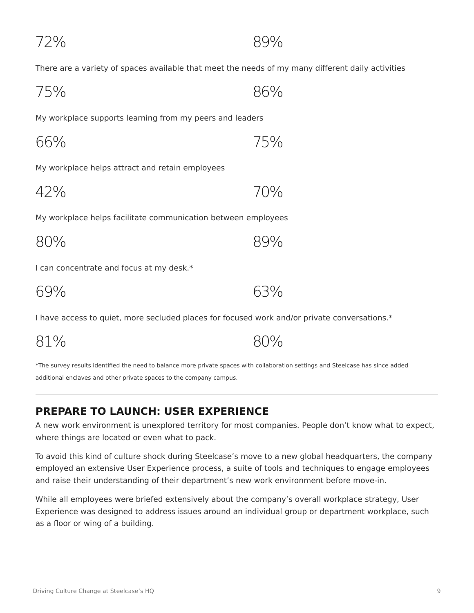72% 89%

There are a variety of spaces available that meet the needs of my many different daily activities

| 86% |
|-----|
|     |

My workplace supports learning from my peers and leaders

| 66% | 75% |
|-----|-----|
|     |     |

My workplace helps attract and retain employees

42% 70%

My workplace helps facilitate communication between employees

| 89% |
|-----|
|     |

I can concentrate and focus at my desk.\*

| 69% | 63% |
|-----|-----|
|-----|-----|

81% 80%

I have access to quiet, more secluded places for focused work and/or private conversations.\*

| *The survey results identified the need to balance more private spaces with collaboration settings and Steelcase has since added |
|----------------------------------------------------------------------------------------------------------------------------------|
| additional enclaves and other private spaces to the company campus.                                                              |

#### **PREPARE TO LAUNCH: USER EXPERIENCE**

A new work environment is unexplored territory for most companies. People don't know what to expect, where things are located or even what to pack.

To avoid this kind of culture shock during Steelcase's move to a new global headquarters, the company employed an extensive User Experience process, a suite of tools and techniques to engage employees and raise their understanding of their department's new work environment before move-in.

While all employees were briefed extensively about the company's overall workplace strategy, User Experience was designed to address issues around an individual group or department workplace, such as a floor or wing of a building.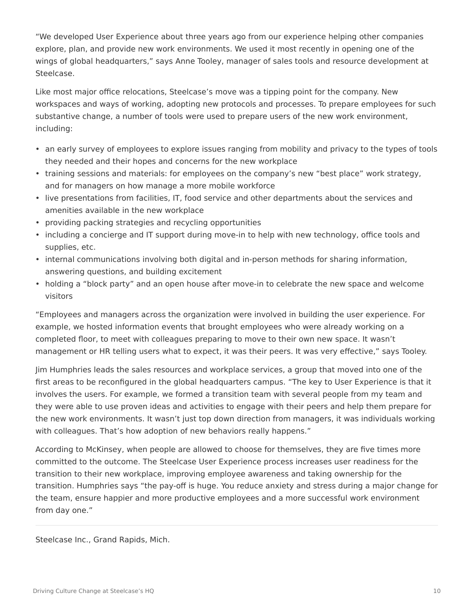"We developed User Experience about three years ago from our experience helping other companies explore, plan, and provide new work environments. We used it most recently in opening one of the wings of global headquarters," says Anne Tooley, manager of sales tools and resource development at Steelcase.

Like most major office relocations, Steelcase's move was a tipping point for the company. New workspaces and ways of working, adopting new protocols and processes. To prepare employees for such substantive change, a number of tools were used to prepare users of the new work environment, including:

- an early survey of employees to explore issues ranging from mobility and privacy to the types of tools they needed and their hopes and concerns for the new workplace
- training sessions and materials: for employees on the company's new "best place" work strategy, and for managers on how manage a more mobile workforce
- live presentations from facilities, IT, food service and other departments about the services and amenities available in the new workplace
- providing packing strategies and recycling opportunities
- including a concierge and IT support during move-in to help with new technology, office tools and supplies, etc.
- internal communications involving both digital and in-person methods for sharing information, answering questions, and building excitement
- holding a "block party" and an open house after move-in to celebrate the new space and welcome visitors

"Employees and managers across the organization were involved in building the user experience. For example, we hosted information events that brought employees who were already working on a completed floor, to meet with colleagues preparing to move to their own new space. It wasn't management or HR telling users what to expect, it was their peers. It was very effective," says Tooley.

Jim Humphries leads the sales resources and workplace services, a group that moved into one of the first areas to be reconfigured in the global headquarters campus. "The key to User Experience is that it involves the users. For example, we formed a transition team with several people from my team and they were able to use proven ideas and activities to engage with their peers and help them prepare for the new work environments. It wasn't just top down direction from managers, it was individuals working with colleagues. That's how adoption of new behaviors really happens."

According to McKinsey, when people are allowed to choose for themselves, they are five times more committed to the outcome. The Steelcase User Experience process increases user readiness for the transition to their new workplace, improving employee awareness and taking ownership for the transition. Humphries says "the pay-off is huge. You reduce anxiety and stress during a major change for the team, ensure happier and more productive employees and a more successful work environment from day one."

Steelcase Inc., Grand Rapids, Mich.